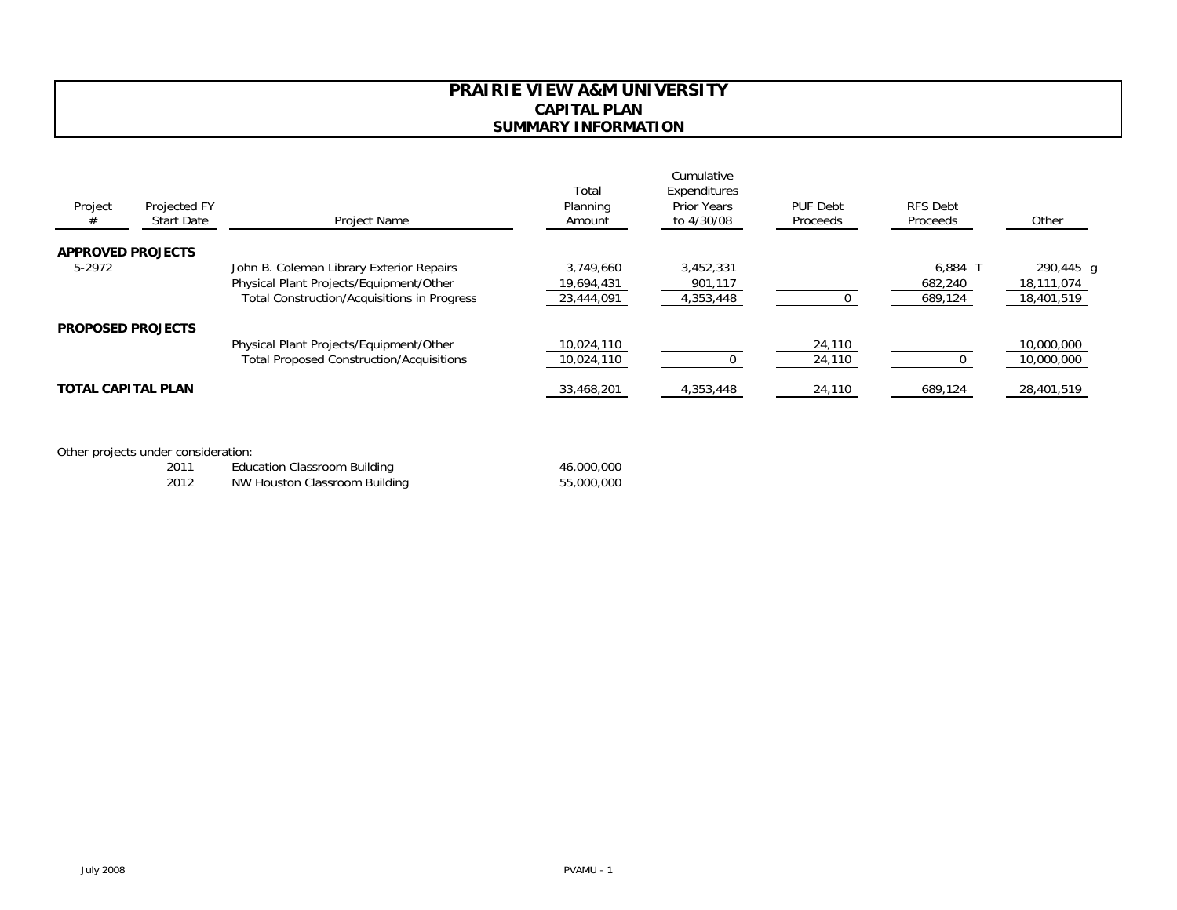## **PRAIRIE VIEW A&M UNIVERSITY CAPITAL PLANSUMMARY INFORMATION**

| Project<br>#              | Projected FY<br><b>Start Date</b> | Project Name                                       | Total<br>Planning<br>Amount | Cumulative<br>Expenditures<br><b>Prior Years</b><br>to 4/30/08 | PUF Debt<br>Proceeds | RFS Debt<br>Proceeds | Other      |
|---------------------------|-----------------------------------|----------------------------------------------------|-----------------------------|----------------------------------------------------------------|----------------------|----------------------|------------|
| <b>APPROVED PROJECTS</b>  |                                   |                                                    |                             |                                                                |                      |                      |            |
| 5-2972                    |                                   | John B. Coleman Library Exterior Repairs           | 3.749.660                   | 3,452,331                                                      |                      | $6,884$ T            | 290,445 g  |
|                           |                                   | Physical Plant Projects/Equipment/Other            | 19,694,431                  | 901,117                                                        |                      | 682,240              | 18,111,074 |
|                           |                                   | <b>Total Construction/Acquisitions in Progress</b> | 23,444,091                  | 4,353,448                                                      |                      | 689,124              | 18,401,519 |
| <b>PROPOSED PROJECTS</b>  |                                   |                                                    |                             |                                                                |                      |                      |            |
|                           |                                   | Physical Plant Projects/Equipment/Other            | 10,024,110                  |                                                                | 24,110               |                      | 10,000,000 |
|                           |                                   | <b>Total Proposed Construction/Acquisitions</b>    | 10,024,110                  |                                                                | 24,110               |                      | 10,000,000 |
| <b>TOTAL CAPITAL PLAN</b> |                                   |                                                    | 33,468,201                  | 4,353,448                                                      | 24,110               | 689,124              | 28,401,519 |

Other projects under consideration:

| 2011 | <b>Education Classroom Building</b> | 46,000,000 |
|------|-------------------------------------|------------|
| 2012 | NW Houston Classroom Building       | 55,000,000 |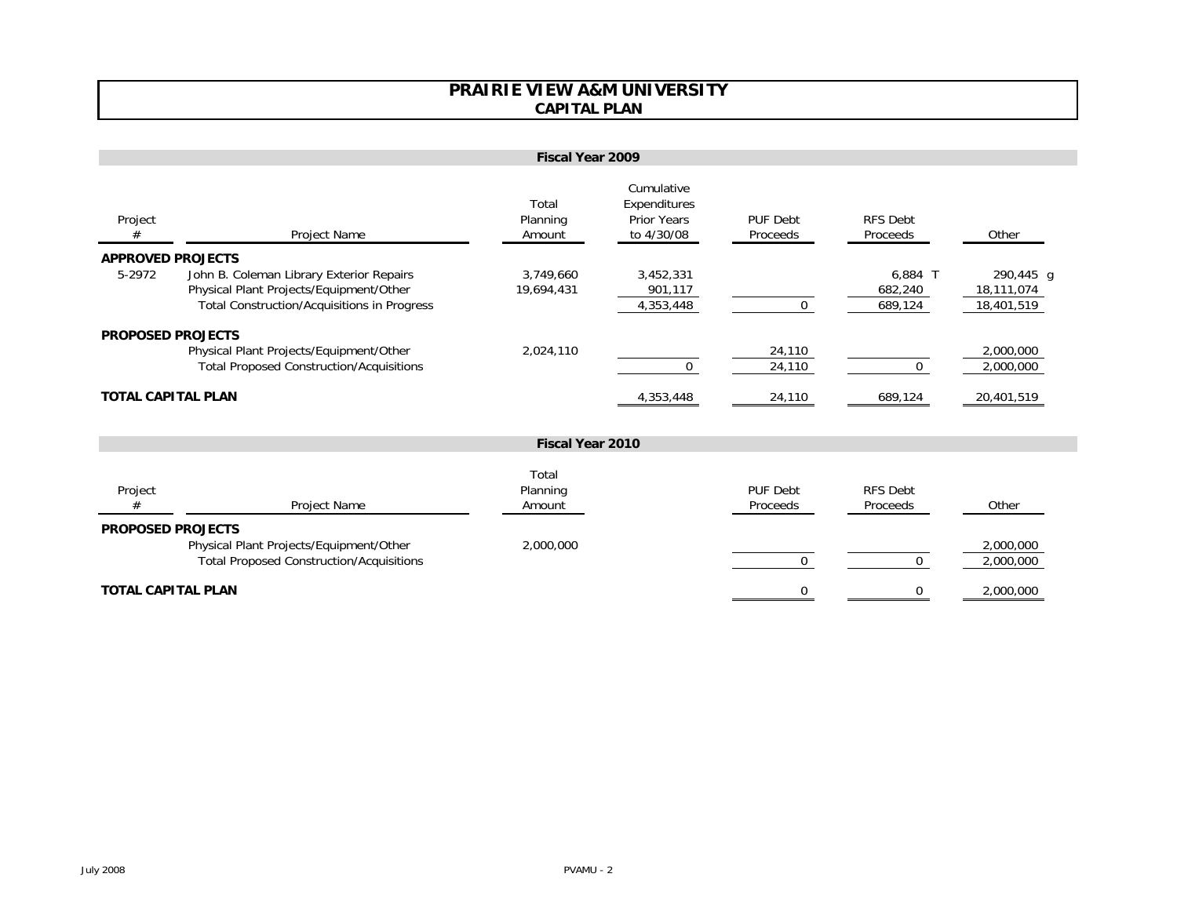## **PRAIRIE VIEW A&M UNIVERSITY CAPITAL PLAN**

| Fiscal Year 2009         |                                                                                                                                           |                             |                                                         |                      |                                 |                                       |  |
|--------------------------|-------------------------------------------------------------------------------------------------------------------------------------------|-----------------------------|---------------------------------------------------------|----------------------|---------------------------------|---------------------------------------|--|
| Project<br>#             | <b>Project Name</b>                                                                                                                       | Total<br>Planning<br>Amount | Cumulative<br>Expenditures<br>Prior Years<br>to 4/30/08 | PUF Debt<br>Proceeds | <b>RFS Debt</b><br>Proceeds     | Other                                 |  |
| <b>APPROVED PROJECTS</b> |                                                                                                                                           |                             |                                                         |                      |                                 |                                       |  |
| 5-2972                   | John B. Coleman Library Exterior Repairs<br>Physical Plant Projects/Equipment/Other<br><b>Total Construction/Acquisitions in Progress</b> | 3,749,660<br>19,694,431     | 3,452,331<br>901,117<br>4,353,448                       | O                    | $6,884$ T<br>682,240<br>689,124 | 290,445 q<br>18,111,074<br>18,401,519 |  |
|                          | <b>PROPOSED PROJECTS</b>                                                                                                                  |                             |                                                         |                      |                                 |                                       |  |
|                          | Physical Plant Projects/Equipment/Other<br><b>Total Proposed Construction/Acquisitions</b>                                                | 2,024,110                   |                                                         | 24,110<br>24,110     | 0                               | 2,000,000<br>2,000,000                |  |
| TOTAL CAPITAL PLAN       |                                                                                                                                           | 4,353,448                   | 24,110                                                  | 689,124              | 20,401,519                      |                                       |  |

| Fiscal Year 2010 |  |
|------------------|--|
|                  |  |

| Project                   | Project Name                                                                               | Total<br>Planning<br>Amount | PUF Debt<br>Proceeds | <b>RFS Debt</b><br>Proceeds | Other                  |
|---------------------------|--------------------------------------------------------------------------------------------|-----------------------------|----------------------|-----------------------------|------------------------|
| <b>PROPOSED PROJECTS</b>  | Physical Plant Projects/Equipment/Other<br><b>Total Proposed Construction/Acquisitions</b> | 2,000,000                   |                      |                             | 2,000,000<br>2,000,000 |
| <b>TOTAL CAPITAL PLAN</b> |                                                                                            |                             |                      |                             | 2,000,000              |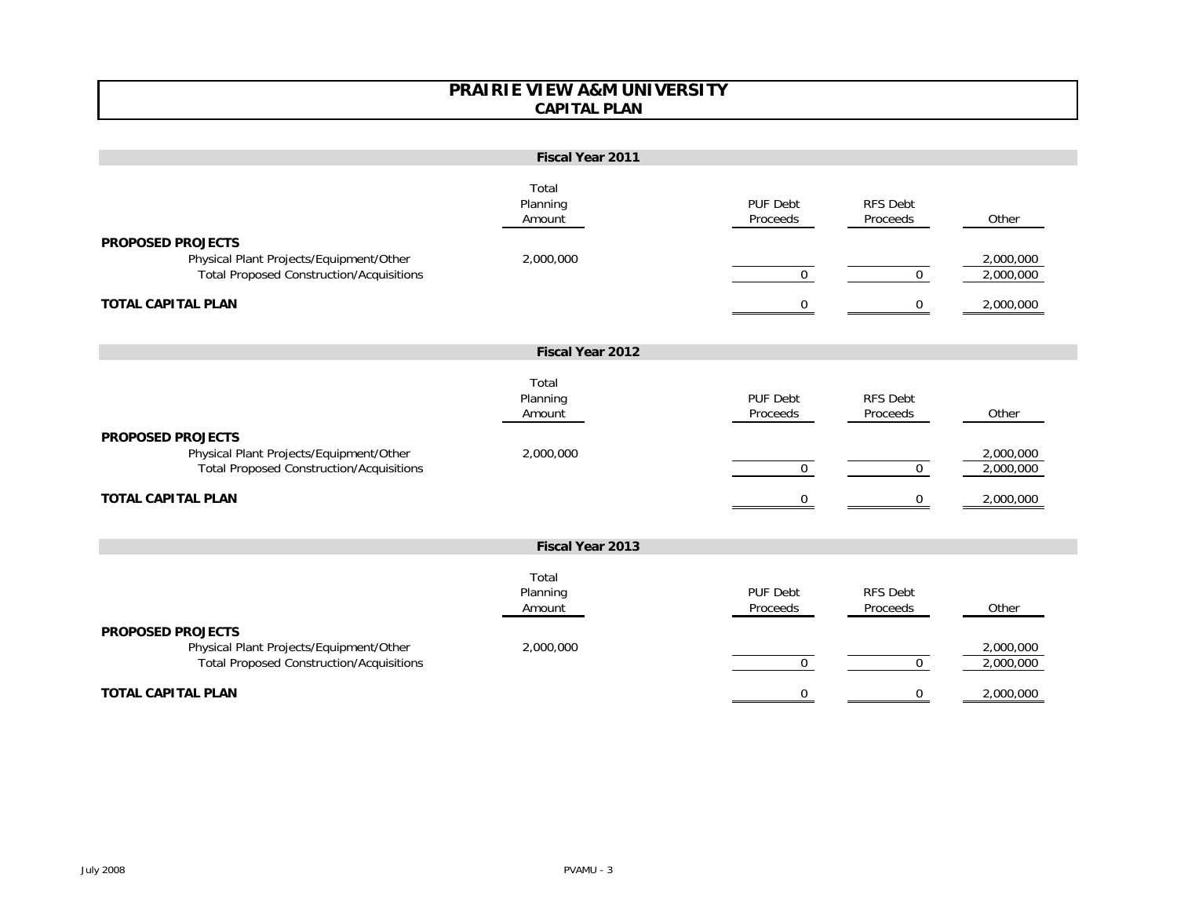| <b>PRAIRIE VIEW A&amp;M UNIVERSITY</b><br><b>CAPITAL PLAN</b>                                                          |                             |                      |                             |                        |  |  |
|------------------------------------------------------------------------------------------------------------------------|-----------------------------|----------------------|-----------------------------|------------------------|--|--|
|                                                                                                                        |                             |                      |                             |                        |  |  |
|                                                                                                                        | Fiscal Year 2011            |                      |                             |                        |  |  |
|                                                                                                                        | Total<br>Planning<br>Amount | PUF Debt<br>Proceeds | <b>RFS Debt</b><br>Proceeds | Other                  |  |  |
| <b>PROPOSED PROJECTS</b><br>Physical Plant Projects/Equipment/Other<br><b>Total Proposed Construction/Acquisitions</b> | 2,000,000                   | $\mathbf 0$          | 0                           | 2,000,000<br>2,000,000 |  |  |
| <b>TOTAL CAPITAL PLAN</b>                                                                                              |                             | 0                    | 0                           | 2,000,000              |  |  |
|                                                                                                                        | Fiscal Year 2012            |                      |                             |                        |  |  |
| <b>PROPOSED PROJECTS</b>                                                                                               | Total<br>Planning<br>Amount | PUF Debt<br>Proceeds | RFS Debt<br>Proceeds        | Other                  |  |  |
| Physical Plant Projects/Equipment/Other<br><b>Total Proposed Construction/Acquisitions</b>                             | 2,000,000                   | $\overline{0}$       | $\mathbf 0$                 | 2,000,000<br>2,000,000 |  |  |
| <b>TOTAL CAPITAL PLAN</b>                                                                                              |                             | $\Omega$             | $\mathbf 0$                 | 2,000,000              |  |  |
|                                                                                                                        | Fiscal Year 2013            |                      |                             |                        |  |  |
|                                                                                                                        | Total<br>Planning<br>Amount | PUF Debt<br>Proceeds | <b>RFS Debt</b><br>Proceeds | Other                  |  |  |
| <b>PROPOSED PROJECTS</b><br>Physical Plant Projects/Equipment/Other<br><b>Total Proposed Construction/Acquisitions</b> | 2,000,000                   | $\overline{0}$       | $\overline{0}$              | 2,000,000<br>2,000,000 |  |  |
| <b>TOTAL CAPITAL PLAN</b>                                                                                              |                             | $\mathbf 0$          | $\mathbf 0$                 | 2,000,000              |  |  |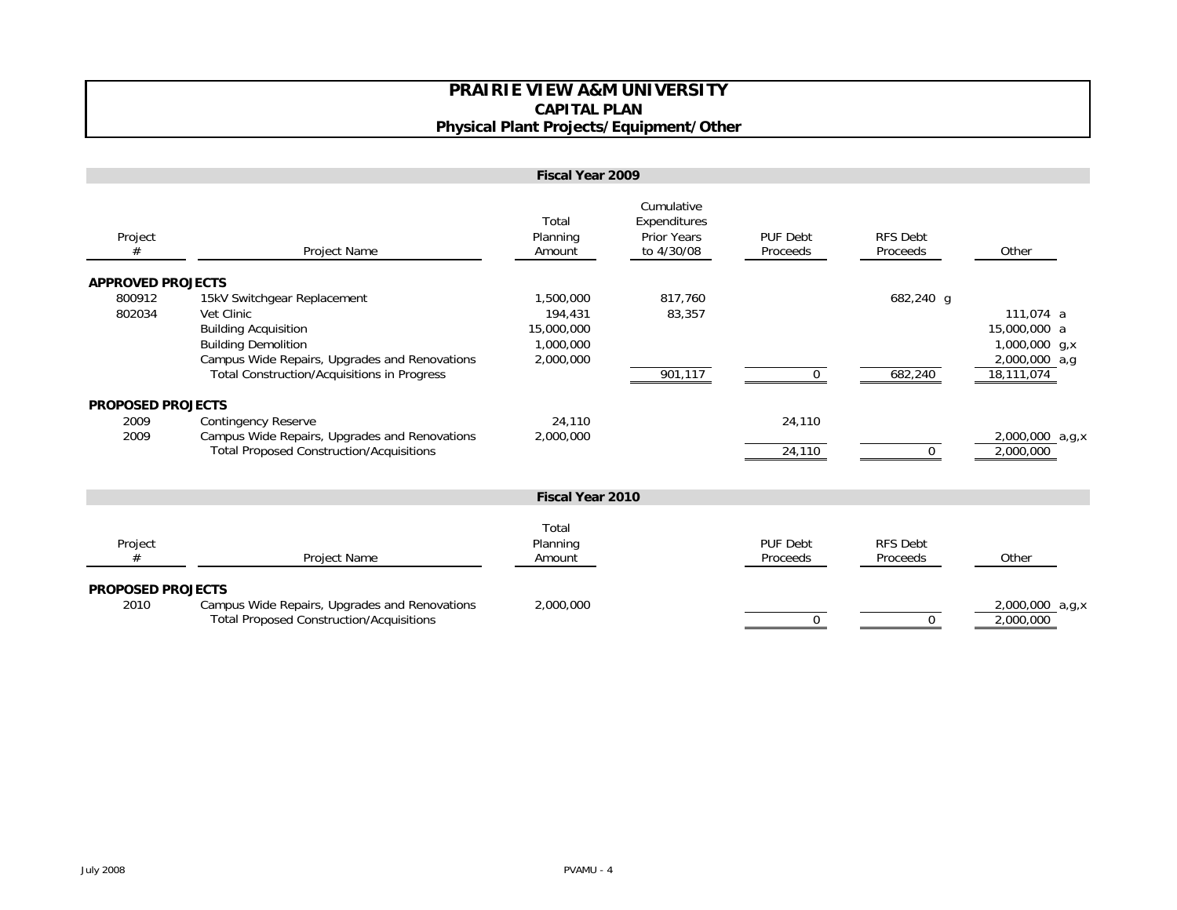## **PRAIRIE VIEW A&M UNIVERSITY CAPITAL PLAN Physical Plant Projects/Equipment/Other**

|                                          |                                                                                                                                                                                                               | <b>Fiscal Year 2009</b>                                      |                                                                |                             |                             |                                                                           |
|------------------------------------------|---------------------------------------------------------------------------------------------------------------------------------------------------------------------------------------------------------------|--------------------------------------------------------------|----------------------------------------------------------------|-----------------------------|-----------------------------|---------------------------------------------------------------------------|
| Project<br>#                             | Project Name                                                                                                                                                                                                  | Total<br>Planning<br>Amount                                  | Cumulative<br>Expenditures<br><b>Prior Years</b><br>to 4/30/08 | <b>PUF Debt</b><br>Proceeds | <b>RFS Debt</b><br>Proceeds | Other                                                                     |
| <b>APPROVED PROJECTS</b>                 |                                                                                                                                                                                                               |                                                              |                                                                |                             |                             |                                                                           |
| 800912<br>802034                         | 15kV Switchgear Replacement<br>Vet Clinic<br><b>Building Acquisition</b><br><b>Building Demolition</b><br>Campus Wide Repairs, Upgrades and Renovations<br><b>Total Construction/Acquisitions in Progress</b> | 1,500,000<br>194,431<br>15,000,000<br>1,000,000<br>2,000,000 | 817,760<br>83,357<br>901,117                                   | $\mathbf 0$                 | 682,240 g<br>682,240        | 111.074 a<br>15,000,000 a<br>1,000,000 g,x<br>2,000,000 a,g<br>18,111,074 |
|                                          |                                                                                                                                                                                                               |                                                              |                                                                |                             |                             |                                                                           |
| <b>PROPOSED PROJECTS</b><br>2009<br>2009 | <b>Contingency Reserve</b><br>Campus Wide Repairs, Upgrades and Renovations<br><b>Total Proposed Construction/Acquisitions</b>                                                                                | 24,110<br>2,000,000                                          |                                                                | 24,110<br>24,110            | $\Omega$                    | 2,000,000_a,g,x<br>2,000,000                                              |
|                                          |                                                                                                                                                                                                               | <b>Fiscal Year 2010</b>                                      |                                                                |                             |                             |                                                                           |
| Project<br>#                             | Project Name                                                                                                                                                                                                  | Total<br>Planning<br>Amount                                  |                                                                | <b>PUF Debt</b><br>Proceeds | <b>RFS Debt</b><br>Proceeds | Other                                                                     |
| <b>PROPOSED PROJECTS</b><br>2010         | Campus Wide Repairs, Upgrades and Renovations<br><b>Total Proposed Construction/Acquisitions</b>                                                                                                              | 2,000,000                                                    |                                                                | $\mathbf 0$                 | $\mathbf{0}$                | 2,000,000_a,g,x<br>2,000,000                                              |